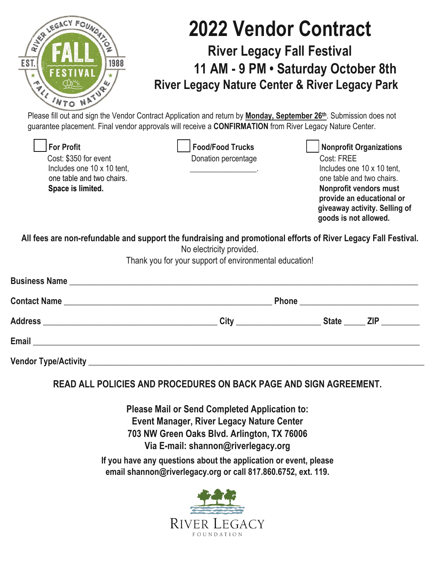| LEGA.        | <b>2022 Vendor Contract</b>                                                                                                                                                                                                    |
|--------------|--------------------------------------------------------------------------------------------------------------------------------------------------------------------------------------------------------------------------------|
| RIVER        | <b>River Legacy Fall Festival</b>                                                                                                                                                                                              |
| EST.<br>1988 | 11 AM - 9 PM . Saturday October 8th                                                                                                                                                                                            |
| A<br>4       | <b>River Legacy Nature Center &amp; River Legacy Park</b>                                                                                                                                                                      |
|              | Please fill out and sign the Vendor Contract Application and return by Monday, September 26th. Submission does not<br>guarantee placement. Final vendor approvals will receive a CONFIRMATION from River Legacy Nature Center. |

| <b>For Profit</b>                                                                                              | <b>Food/Food Trucks</b>                                                            | <b>Nonprofit Organizations</b> |
|----------------------------------------------------------------------------------------------------------------|------------------------------------------------------------------------------------|--------------------------------|
| Cost: \$350 for event                                                                                          | Donation percentage                                                                | Cost: FREE                     |
| Includes one 10 x 10 tent,                                                                                     | the contract of the contract of the                                                | Includes one 10 x 10 tent,     |
| one table and two chairs.                                                                                      |                                                                                    | one table and two chairs.      |
| Space is limited.                                                                                              |                                                                                    | Nonprofit vendors must         |
|                                                                                                                |                                                                                    | provide an educational or      |
|                                                                                                                |                                                                                    | giveaway activity. Selling of  |
|                                                                                                                |                                                                                    | goods is not allowed.          |
| All fees are non-refundable and support the fundraising and promotional efforts of River Legacy Fall Festival. | No electricity provided.<br>Thank you for your support of environmental education! |                                |
|                                                                                                                |                                                                                    |                                |
|                                                                                                                |                                                                                    |                                |
|                                                                                                                |                                                                                    |                                |
|                                                                                                                |                                                                                    |                                |

**READ ALL POLICIES AND PROCEDURES ON BACK PAGE AND SIGN AGREEMENT.**

**Please Mail or Send Completed Application to: Event Manager, River Legacy Nature Center 703 NW Green Oaks Blvd. Arlington, TX 76006 Via E-mail: shannon@riverlegacy.org** 

**If you have any questions about the application or event, please email shannon@riverlegacy.org or call 817.860.6752, ext. 119.**